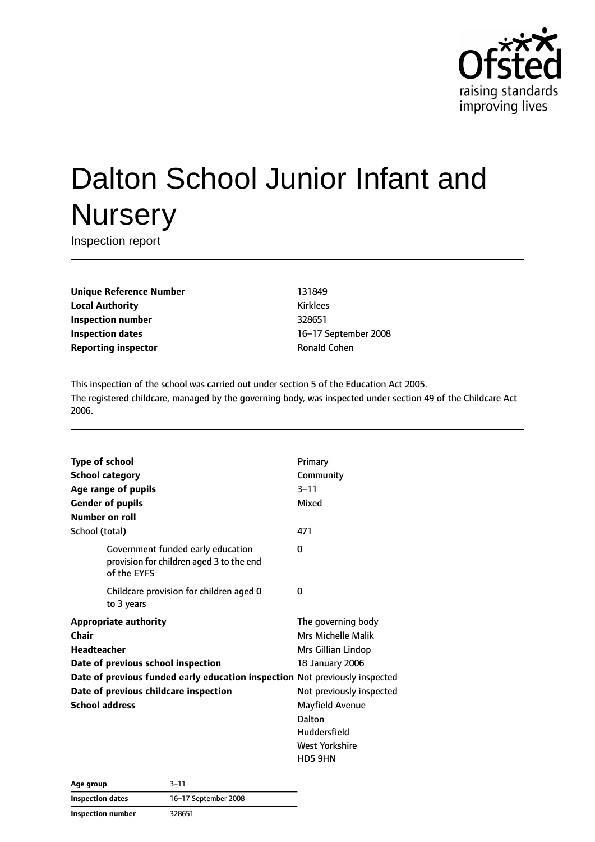

# Dalton School Junior Infant and **Nursery**

Inspection report

**Unique Reference Number** 131849 **Local Authority** Kirklees **Inspection number** 328651 **Inspection dates** 16–17 September 2008 **Reporting inspector Community Ronald Cohen** 

This inspection of the school was carried out under section 5 of the Education Act 2005. The registered childcare, managed by the governing body, was inspected under section 49 of the Childcare Act 2006.

| <b>Type of school</b>                                                                        | Primary                  |
|----------------------------------------------------------------------------------------------|--------------------------|
| <b>School category</b>                                                                       | Community                |
| Age range of pupils                                                                          | $3 - 11$                 |
| <b>Gender of pupils</b>                                                                      | Mixed                    |
| Number on roll                                                                               |                          |
| School (total)                                                                               | 471                      |
| Government funded early education<br>provision for children aged 3 to the end<br>of the EYFS | 0                        |
| Childcare provision for children aged 0<br>to 3 years                                        | 0                        |
| <b>Appropriate authority</b>                                                                 | The governing body       |
| Chair                                                                                        | Mrs Michelle Malik       |
| <b>Headteacher</b>                                                                           | Mrs Gillian Lindop       |
| Date of previous school inspection                                                           | 18 January 2006          |
| Date of previous funded early education inspection Not previously inspected                  |                          |
| Date of previous childcare inspection                                                        | Not previously inspected |
| <b>School address</b>                                                                        | Mayfield Avenue          |
|                                                                                              | Dalton                   |
|                                                                                              | Huddersfield             |
|                                                                                              | <b>West Yorkshire</b>    |
|                                                                                              | HD5 9HN                  |

**Age group** 3–11 **Inspection dates** 16–17 September 2008 **Inspection number** 328651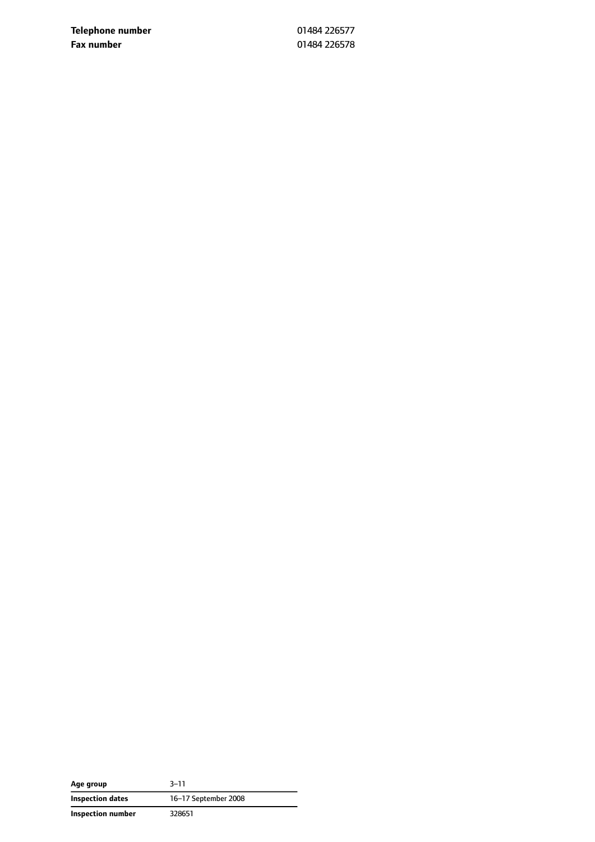**Telephone number** 01484 226577 **Fax number** 01484 226578

| Age group               | $3 - 11$             |  |
|-------------------------|----------------------|--|
| <b>Inspection dates</b> | 16-17 September 2008 |  |
| Inspection number       | 328651               |  |

÷,  $\overline{\phantom{0}}$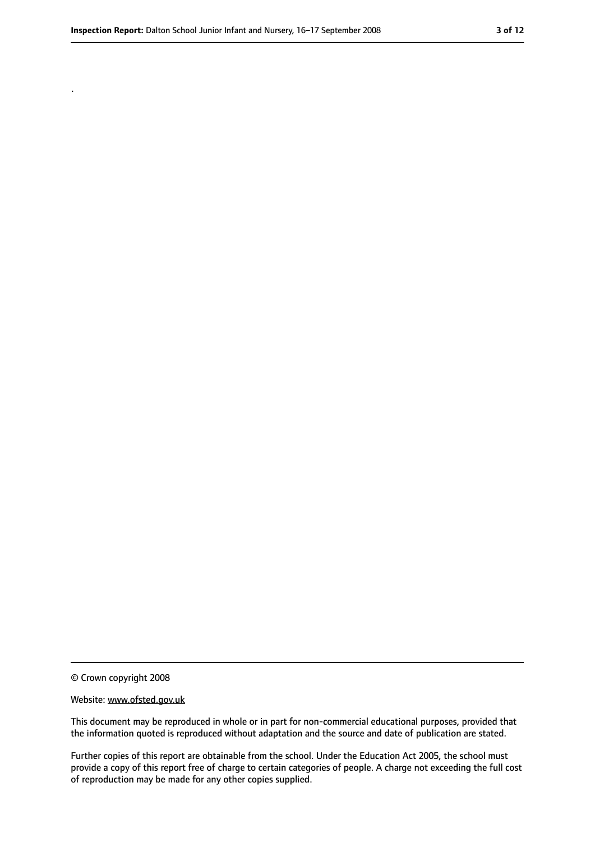.

#### Website: www.ofsted.gov.uk

This document may be reproduced in whole or in part for non-commercial educational purposes, provided that the information quoted is reproduced without adaptation and the source and date of publication are stated.

Further copies of this report are obtainable from the school. Under the Education Act 2005, the school must provide a copy of this report free of charge to certain categories of people. A charge not exceeding the full cost of reproduction may be made for any other copies supplied.

<sup>©</sup> Crown copyright 2008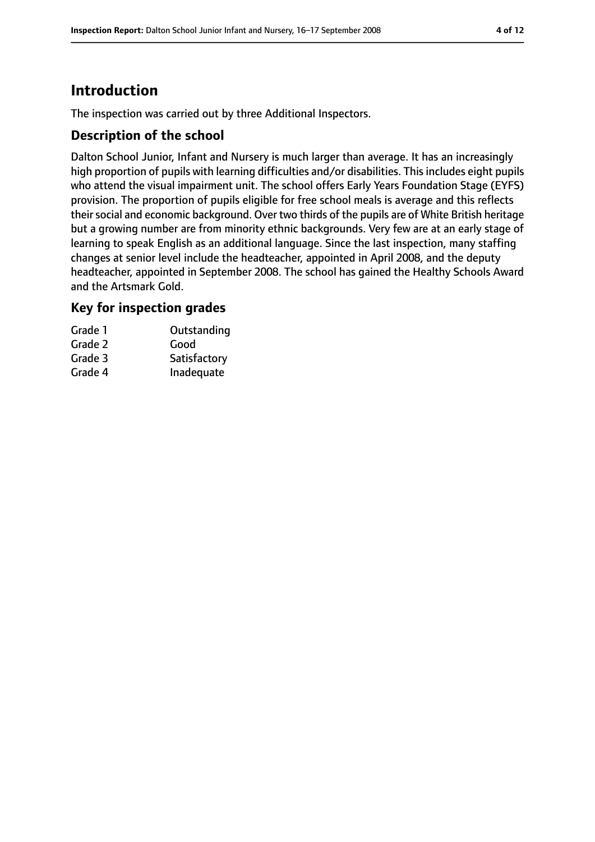# **Introduction**

The inspection was carried out by three Additional Inspectors.

#### **Description of the school**

Dalton School Junior, Infant and Nursery is much larger than average. It has an increasingly high proportion of pupils with learning difficulties and/or disabilities. This includes eight pupils who attend the visual impairment unit. The school offers Early Years Foundation Stage (EYFS) provision. The proportion of pupils eligible for free school meals is average and this reflects their social and economic background. Over two thirds of the pupils are of White British heritage but a growing number are from minority ethnic backgrounds. Very few are at an early stage of learning to speak English as an additional language. Since the last inspection, many staffing changes at senior level include the headteacher, appointed in April 2008, and the deputy headteacher, appointed in September 2008. The school has gained the Healthy Schools Award and the Artsmark Gold.

#### **Key for inspection grades**

| Grade 1 | Outstanding  |
|---------|--------------|
| Grade 2 | Good         |
| Grade 3 | Satisfactory |
| Grade 4 | Inadequate   |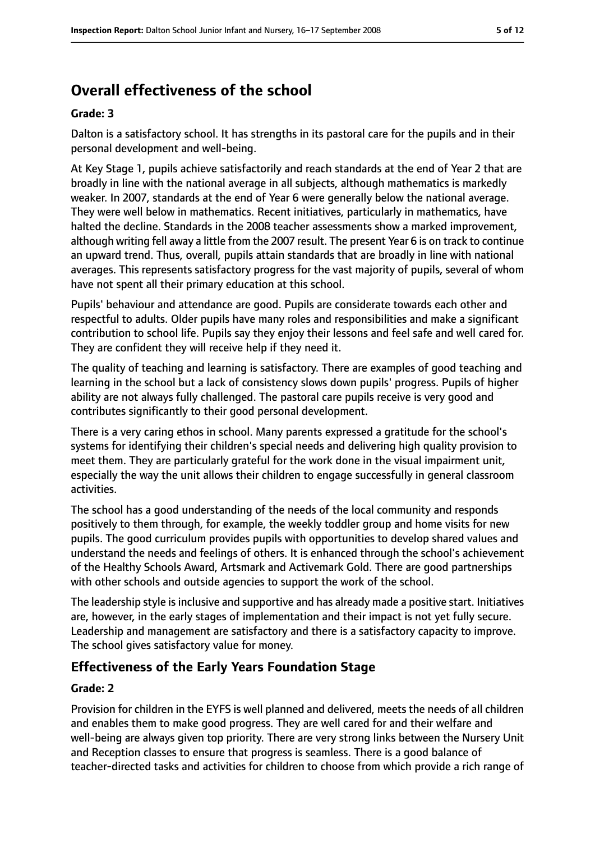# **Overall effectiveness of the school**

#### **Grade: 3**

Dalton is a satisfactory school. It has strengths in its pastoral care for the pupils and in their personal development and well-being.

At Key Stage 1, pupils achieve satisfactorily and reach standards at the end of Year 2 that are broadly in line with the national average in all subjects, although mathematics is markedly weaker. In 2007, standards at the end of Year 6 were generally below the national average. They were well below in mathematics. Recent initiatives, particularly in mathematics, have halted the decline. Standards in the 2008 teacher assessments show a marked improvement, although writing fell away a little from the 2007 result. The present Year 6 is on track to continue an upward trend. Thus, overall, pupils attain standards that are broadly in line with national averages. This represents satisfactory progress for the vast majority of pupils, several of whom have not spent all their primary education at this school.

Pupils' behaviour and attendance are good. Pupils are considerate towards each other and respectful to adults. Older pupils have many roles and responsibilities and make a significant contribution to school life. Pupils say they enjoy their lessons and feel safe and well cared for. They are confident they will receive help if they need it.

The quality of teaching and learning is satisfactory. There are examples of good teaching and learning in the school but a lack of consistency slows down pupils' progress. Pupils of higher ability are not always fully challenged. The pastoral care pupils receive is very good and contributes significantly to their good personal development.

There is a very caring ethos in school. Many parents expressed a gratitude for the school's systems for identifying their children's special needs and delivering high quality provision to meet them. They are particularly grateful for the work done in the visual impairment unit, especially the way the unit allows their children to engage successfully in general classroom activities.

The school has a good understanding of the needs of the local community and responds positively to them through, for example, the weekly toddler group and home visits for new pupils. The good curriculum provides pupils with opportunities to develop shared values and understand the needs and feelings of others. It is enhanced through the school's achievement of the Healthy Schools Award, Artsmark and Activemark Gold. There are good partnerships with other schools and outside agencies to support the work of the school.

The leadership style is inclusive and supportive and has already made a positive start. Initiatives are, however, in the early stages of implementation and their impact is not yet fully secure. Leadership and management are satisfactory and there is a satisfactory capacity to improve. The school gives satisfactory value for money.

## **Effectiveness of the Early Years Foundation Stage**

#### **Grade: 2**

Provision for children in the EYFS is well planned and delivered, meets the needs of all children and enables them to make good progress. They are well cared for and their welfare and well-being are always given top priority. There are very strong links between the Nursery Unit and Reception classes to ensure that progress is seamless. There is a good balance of teacher-directed tasks and activities for children to choose from which provide a rich range of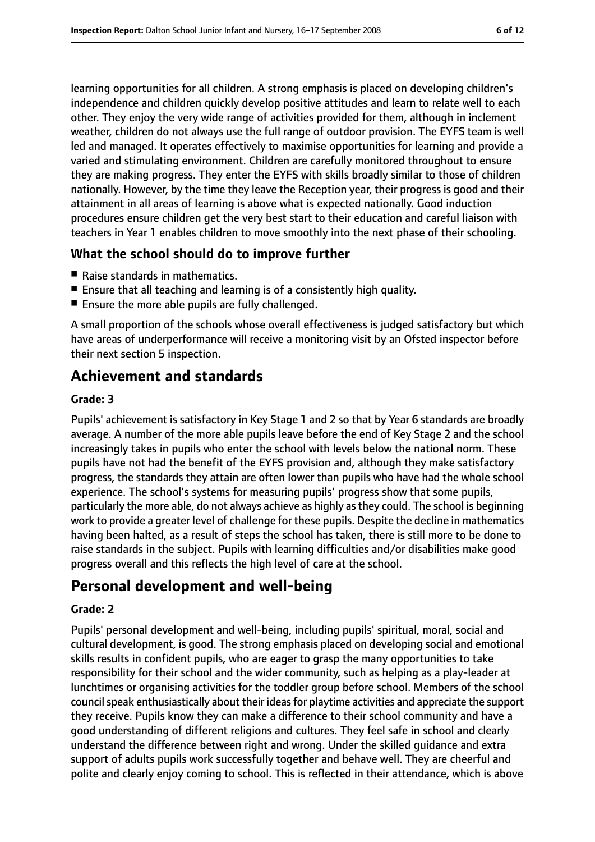learning opportunities for all children. A strong emphasis is placed on developing children's independence and children quickly develop positive attitudes and learn to relate well to each other. They enjoy the very wide range of activities provided for them, although in inclement weather, children do not always use the full range of outdoor provision. The EYFS team is well led and managed. It operates effectively to maximise opportunities for learning and provide a varied and stimulating environment. Children are carefully monitored throughout to ensure they are making progress. They enter the EYFS with skills broadly similar to those of children nationally. However, by the time they leave the Reception year, their progress is good and their attainment in all areas of learning is above what is expected nationally. Good induction procedures ensure children get the very best start to their education and careful liaison with teachers in Year 1 enables children to move smoothly into the next phase of their schooling.

#### **What the school should do to improve further**

- Raise standards in mathematics.
- Ensure that all teaching and learning is of a consistently high quality.
- Ensure the more able pupils are fully challenged.

A small proportion of the schools whose overall effectiveness is judged satisfactory but which have areas of underperformance will receive a monitoring visit by an Ofsted inspector before their next section 5 inspection.

## **Achievement and standards**

#### **Grade: 3**

Pupils' achievement is satisfactory in Key Stage 1 and 2 so that by Year 6 standards are broadly average. A number of the more able pupils leave before the end of Key Stage 2 and the school increasingly takes in pupils who enter the school with levels below the national norm. These pupils have not had the benefit of the EYFS provision and, although they make satisfactory progress, the standards they attain are often lower than pupils who have had the whole school experience. The school's systems for measuring pupils' progress show that some pupils, particularly the more able, do not always achieve as highly asthey could. The school is beginning work to provide a greater level of challenge for these pupils. Despite the decline in mathematics having been halted, as a result of steps the school has taken, there is still more to be done to raise standards in the subject. Pupils with learning difficulties and/or disabilities make good progress overall and this reflects the high level of care at the school.

## **Personal development and well-being**

#### **Grade: 2**

Pupils' personal development and well-being, including pupils' spiritual, moral, social and cultural development, is good. The strong emphasis placed on developing social and emotional skills results in confident pupils, who are eager to grasp the many opportunities to take responsibility for their school and the wider community, such as helping as a play-leader at lunchtimes or organising activities for the toddler group before school. Members of the school council speak enthusiastically about their ideas for playtime activities and appreciate the support they receive. Pupils know they can make a difference to their school community and have a good understanding of different religions and cultures. They feel safe in school and clearly understand the difference between right and wrong. Under the skilled guidance and extra support of adults pupils work successfully together and behave well. They are cheerful and polite and clearly enjoy coming to school. This is reflected in their attendance, which is above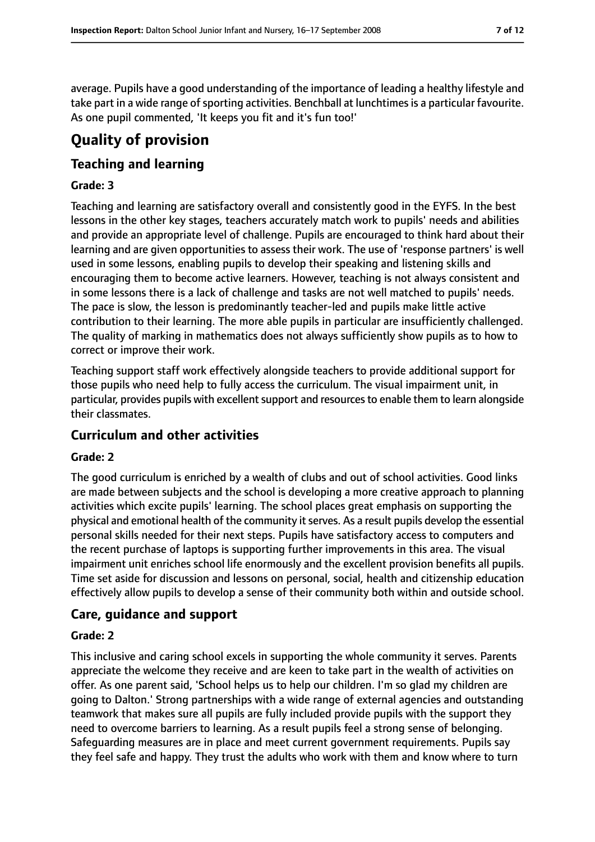average. Pupils have a good understanding of the importance of leading a healthy lifestyle and take part in a wide range of sporting activities. Benchball at lunchtimes is a particular favourite. As one pupil commented, 'It keeps you fit and it's fun too!'

# **Quality of provision**

### **Teaching and learning**

#### **Grade: 3**

Teaching and learning are satisfactory overall and consistently good in the EYFS. In the best lessons in the other key stages, teachers accurately match work to pupils' needs and abilities and provide an appropriate level of challenge. Pupils are encouraged to think hard about their learning and are given opportunities to assess their work. The use of 'response partners' is well used in some lessons, enabling pupils to develop their speaking and listening skills and encouraging them to become active learners. However, teaching is not always consistent and in some lessons there is a lack of challenge and tasks are not well matched to pupils' needs. The pace is slow, the lesson is predominantly teacher-led and pupils make little active contribution to their learning. The more able pupils in particular are insufficiently challenged. The quality of marking in mathematics does not always sufficiently show pupils as to how to correct or improve their work.

Teaching support staff work effectively alongside teachers to provide additional support for those pupils who need help to fully access the curriculum. The visual impairment unit, in particular, provides pupils with excellent support and resources to enable them to learn alongside their classmates.

#### **Curriculum and other activities**

#### **Grade: 2**

The good curriculum is enriched by a wealth of clubs and out of school activities. Good links are made between subjects and the school is developing a more creative approach to planning activities which excite pupils' learning. The school places great emphasis on supporting the physical and emotional health of the community it serves. As a result pupils develop the essential personal skills needed for their next steps. Pupils have satisfactory access to computers and the recent purchase of laptops is supporting further improvements in this area. The visual impairment unit enriches school life enormously and the excellent provision benefits all pupils. Time set aside for discussion and lessons on personal, social, health and citizenship education effectively allow pupils to develop a sense of their community both within and outside school.

#### **Care, guidance and support**

#### **Grade: 2**

This inclusive and caring school excels in supporting the whole community it serves. Parents appreciate the welcome they receive and are keen to take part in the wealth of activities on offer. As one parent said, 'School helps us to help our children. I'm so glad my children are going to Dalton.' Strong partnerships with a wide range of external agencies and outstanding teamwork that makes sure all pupils are fully included provide pupils with the support they need to overcome barriers to learning. As a result pupils feel a strong sense of belonging. Safeguarding measures are in place and meet current government requirements. Pupils say they feel safe and happy. They trust the adults who work with them and know where to turn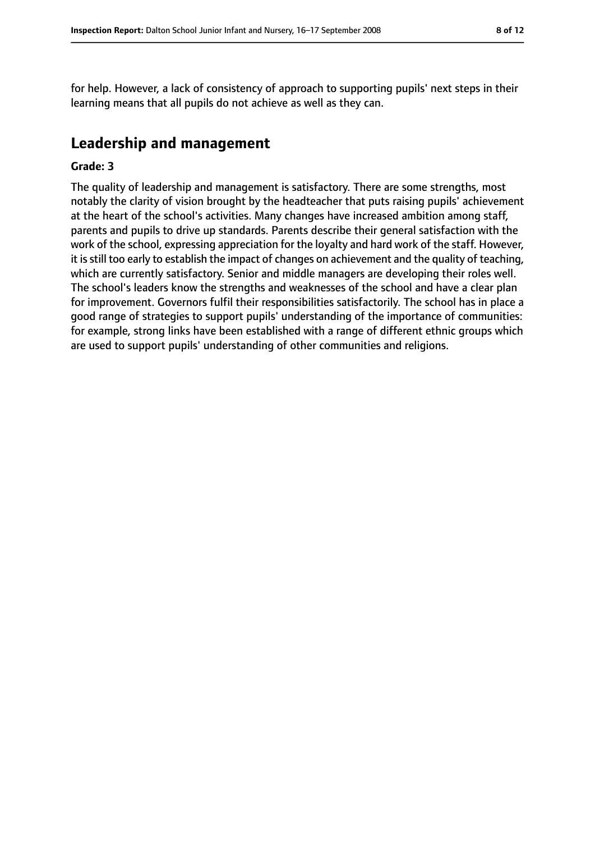for help. However, a lack of consistency of approach to supporting pupils' next steps in their learning means that all pupils do not achieve as well as they can.

# **Leadership and management**

#### **Grade: 3**

The quality of leadership and management is satisfactory. There are some strengths, most notably the clarity of vision brought by the headteacher that puts raising pupils' achievement at the heart of the school's activities. Many changes have increased ambition among staff, parents and pupils to drive up standards. Parents describe their general satisfaction with the work of the school, expressing appreciation for the loyalty and hard work of the staff. However, it isstill too early to establish the impact of changes on achievement and the quality of teaching, which are currently satisfactory. Senior and middle managers are developing their roles well. The school's leaders know the strengths and weaknesses of the school and have a clear plan for improvement. Governors fulfil their responsibilities satisfactorily. The school has in place a good range of strategies to support pupils' understanding of the importance of communities: for example, strong links have been established with a range of different ethnic groups which are used to support pupils' understanding of other communities and religions.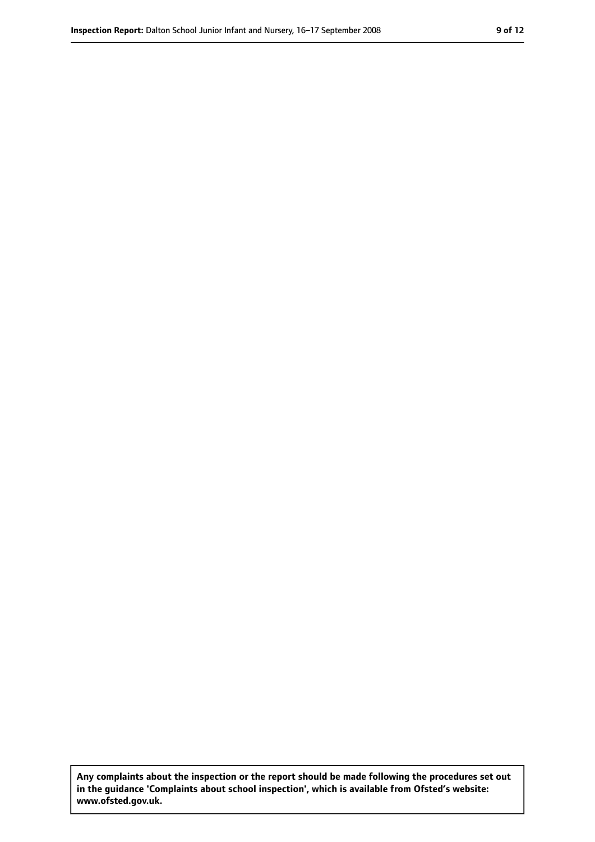**Any complaints about the inspection or the report should be made following the procedures set out in the guidance 'Complaints about school inspection', which is available from Ofsted's website: www.ofsted.gov.uk.**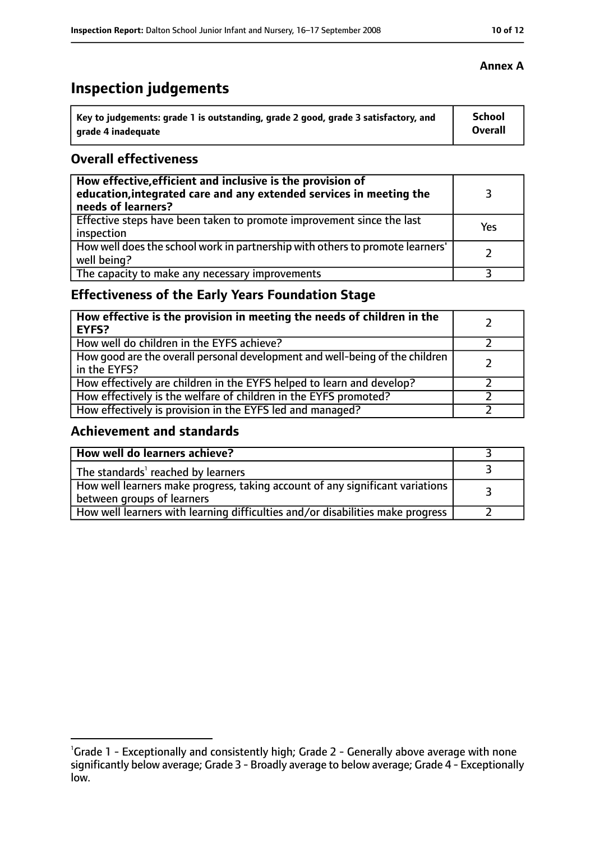# **Inspection judgements**

| Key to judgements: grade 1 is outstanding, grade 2 good, grade 3 satisfactory, and | <b>School</b> |
|------------------------------------------------------------------------------------|---------------|
| arade 4 inadequate                                                                 | Overall       |

#### **Overall effectiveness**

| How effective, efficient and inclusive is the provision of<br>education, integrated care and any extended services in meeting the<br>needs of learners? |     |
|---------------------------------------------------------------------------------------------------------------------------------------------------------|-----|
| Effective steps have been taken to promote improvement since the last<br>inspection                                                                     | Yes |
| How well does the school work in partnership with others to promote learners'<br>well being?                                                            |     |
| The capacity to make any necessary improvements                                                                                                         |     |

## **Effectiveness of the Early Years Foundation Stage**

| How effective is the provision in meeting the needs of children in the<br>l EYFS?            |  |
|----------------------------------------------------------------------------------------------|--|
| How well do children in the EYFS achieve?                                                    |  |
| How good are the overall personal development and well-being of the children<br>in the EYFS? |  |
| How effectively are children in the EYFS helped to learn and develop?                        |  |
| How effectively is the welfare of children in the EYFS promoted?                             |  |
| How effectively is provision in the EYFS led and managed?                                    |  |

## **Achievement and standards**

| How well do learners achieve?                                                                               |  |
|-------------------------------------------------------------------------------------------------------------|--|
| The standards <sup>1</sup> reached by learners                                                              |  |
| How well learners make progress, taking account of any significant variations<br>between groups of learners |  |
| How well learners with learning difficulties and/or disabilities make progress                              |  |

<sup>&</sup>lt;sup>1</sup>Grade 1 - Exceptionally and consistently high; Grade 2 - Generally above average with none significantly below average; Grade 3 - Broadly average to below average; Grade 4 - Exceptionally low.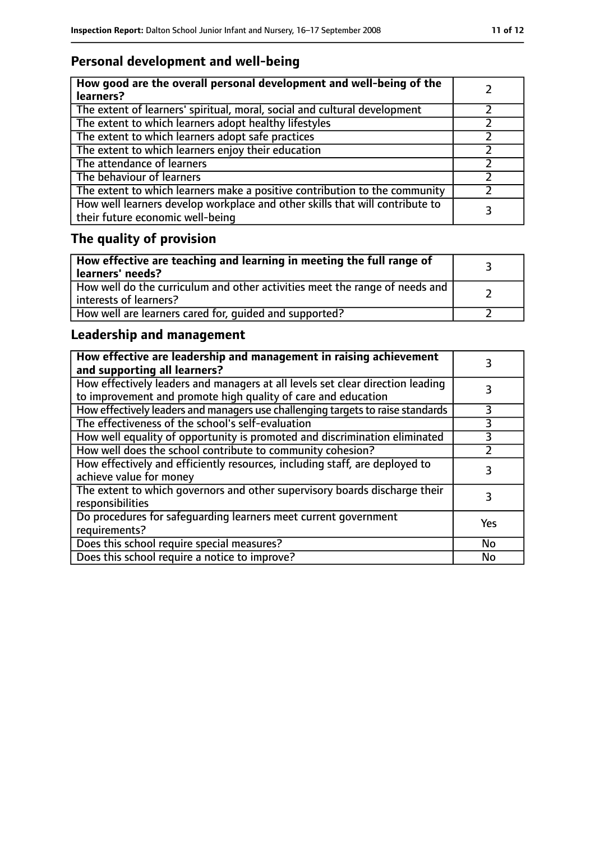# **Personal development and well-being**

| How good are the overall personal development and well-being of the<br>learners?                                 |  |
|------------------------------------------------------------------------------------------------------------------|--|
| The extent of learners' spiritual, moral, social and cultural development                                        |  |
| The extent to which learners adopt healthy lifestyles                                                            |  |
| The extent to which learners adopt safe practices                                                                |  |
| The extent to which learners enjoy their education                                                               |  |
| The attendance of learners                                                                                       |  |
| The behaviour of learners                                                                                        |  |
| The extent to which learners make a positive contribution to the community                                       |  |
| How well learners develop workplace and other skills that will contribute to<br>their future economic well-being |  |

# **The quality of provision**

| How effective are teaching and learning in meeting the full range of<br>learners' needs?              |  |
|-------------------------------------------------------------------------------------------------------|--|
| How well do the curriculum and other activities meet the range of needs and<br>interests of learners? |  |
| How well are learners cared for, quided and supported?                                                |  |

## **Leadership and management**

| How effective are leadership and management in raising achievement<br>and supporting all learners?                                              |     |
|-------------------------------------------------------------------------------------------------------------------------------------------------|-----|
| How effectively leaders and managers at all levels set clear direction leading<br>to improvement and promote high quality of care and education |     |
| How effectively leaders and managers use challenging targets to raise standards                                                                 | 3   |
| The effectiveness of the school's self-evaluation                                                                                               | 3   |
| How well equality of opportunity is promoted and discrimination eliminated                                                                      |     |
| How well does the school contribute to community cohesion?                                                                                      |     |
| How effectively and efficiently resources, including staff, are deployed to<br>achieve value for money                                          | 3   |
| The extent to which governors and other supervisory boards discharge their<br>responsibilities                                                  | 3   |
| Do procedures for safequarding learners meet current government<br>requirements?                                                                | Yes |
| Does this school require special measures?                                                                                                      | No  |
| Does this school require a notice to improve?                                                                                                   | No  |